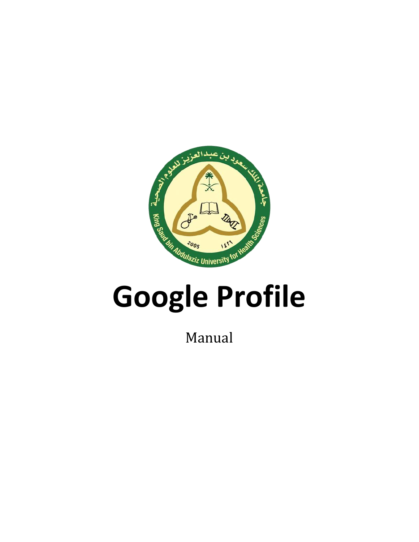

Manual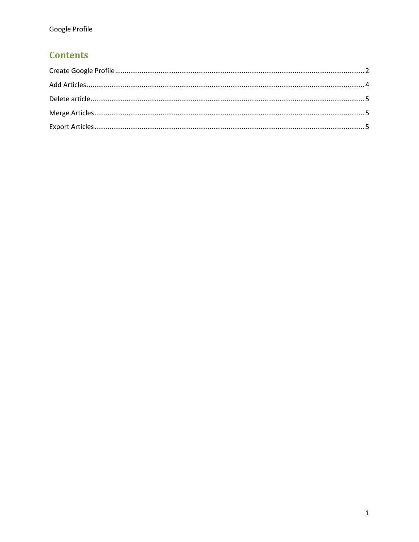# **Contents**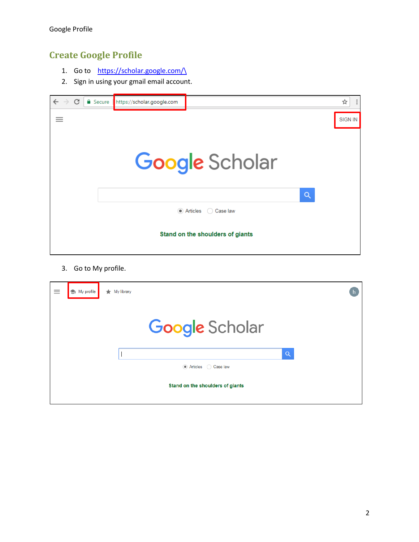## <span id="page-2-0"></span>**Create Google Profile**

- 1. Go to https://scholar.google.com/
- 2. Sign in using your gmail email account.



3. Go to My profile.

| $\equiv$ | $\bigotimes$ My profile | $\bigstar$ My library |                                  |   |  |
|----------|-------------------------|-----------------------|----------------------------------|---|--|
|          |                         |                       | <b>Google</b> Scholar            |   |  |
|          |                         |                       |                                  | Q |  |
|          |                         |                       | Articles Case law                |   |  |
|          |                         |                       | Stand on the shoulders of giants |   |  |
|          |                         |                       |                                  |   |  |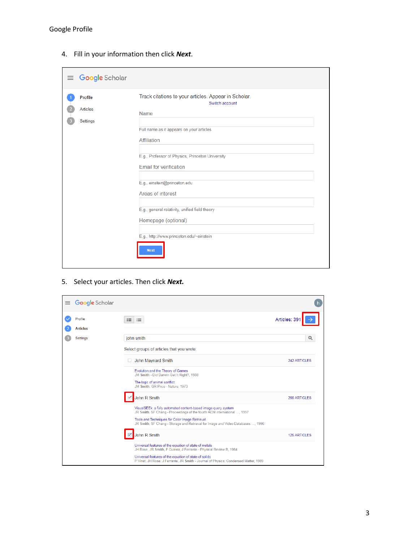| $\equiv$ Google Scholar                |                                                                                                                   |
|----------------------------------------|-------------------------------------------------------------------------------------------------------------------|
| <b>Profile</b><br>Articles<br>Settings | Track citations to your articles. Appear in Scholar.<br>Switch account<br>Name                                    |
|                                        | Full name as it appears on your articles<br>Affiliation                                                           |
|                                        | E.g., Professor of Physics, Princeton University<br><b>Email for verification</b>                                 |
|                                        | E.g., einstein@princeton.edu<br>Areas of interest                                                                 |
|                                        | E.g., general relativity, unified field theory<br>Homepage (optional)<br>E.g., http://www.princeton.edu/~einstein |
|                                        | <b>Next</b>                                                                                                       |

4. Fill in your information then click *Next*.

5. Select your articles. Then click *Next.*

| $\equiv$ | <b>Google</b> Scholar      |                                                                                                                                              |                     |
|----------|----------------------------|----------------------------------------------------------------------------------------------------------------------------------------------|---------------------|
|          | Profile<br><b>Articles</b> | $\equiv$<br>這                                                                                                                                | Articles: 391       |
|          | Settings                   | john smith                                                                                                                                   | $\alpha$            |
|          |                            |                                                                                                                                              |                     |
|          |                            | Select groups of articles that you wrote.                                                                                                    |                     |
|          |                            | John Maynard Smith<br>$\Box$                                                                                                                 | <b>242 ARTICLES</b> |
|          |                            | Evolution and the Theory of Games<br>JM Smith - Did Darwin Get It Right?, 1988                                                               |                     |
|          |                            | The logic of animal conflict<br>JM Smith, GR Price - Nature, 1973                                                                            |                     |
|          |                            | John R Smith                                                                                                                                 | 266 ARTICLES        |
|          |                            | VisualSEEk: a fully automated content-based image query system<br>JR Smith, SF Chang - Proceedings of the fourth ACM international , 1997    |                     |
|          |                            | Tools and Techniques for Color Image Retrieval.<br>JR Smith, SF Chang - Storage and Retrieval for Image and Video Databases , 1996           |                     |
|          |                            | John R Smith                                                                                                                                 | <b>125 ARTICLES</b> |
|          |                            | Universal features of the equation of state of metals<br>JH Rose, JR Smith, F Guinea, J Ferrante - Physical Review B, 1984                   |                     |
|          |                            | Universal features of the equation of state of solids<br>P Vinet, JH Rose, J Ferrante, JR Smith - Journal of Physics: Condensed Matter, 1989 |                     |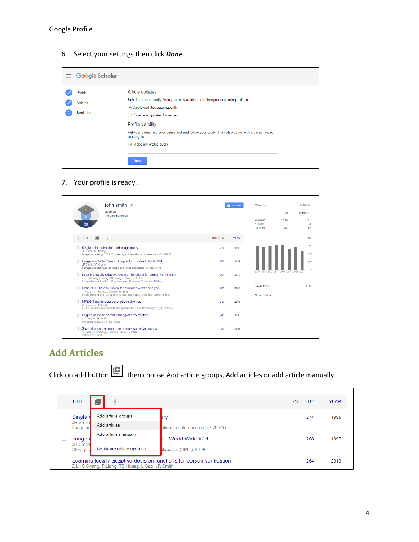6. Select your settings then click *Done*.

| $\equiv$ Google Scholar                       |                                                                                                                                                                                                                                                                                                                                               |  |
|-----------------------------------------------|-----------------------------------------------------------------------------------------------------------------------------------------------------------------------------------------------------------------------------------------------------------------------------------------------------------------------------------------------|--|
| Profile<br><b>Articles</b><br><b>Settings</b> | Article updates<br>Scholar automatically finds your new articles and changes to existing articles.<br>Apply updates automatically<br>Email me updates for review<br>Profile visibility<br>Public profiles help your peers find and follow your work. They also come with a personalized<br>reading list.<br>$\sqrt{ }$ Make my profile public |  |
|                                               | <b>Done</b>                                                                                                                                                                                                                                                                                                                                   |  |

#### 7. Your profile is ready .

|        |                                                         | john smith $\sim$<br>optional<br>No verified email                                                                                                                                             |                 | $\blacksquare$ FOLLOW | Cited by                          | All                                | <b>VIEW ALL</b><br><b>Since 2012</b> |
|--------|---------------------------------------------------------|------------------------------------------------------------------------------------------------------------------------------------------------------------------------------------------------|-----------------|-----------------------|-----------------------------------|------------------------------------|--------------------------------------|
|        | 'n                                                      |                                                                                                                                                                                                |                 |                       | Citations<br>h-index<br>i10-index | 17300<br>73<br>266                 | 4775<br>36<br>128                    |
| $\Box$ | 旧<br>TITLE                                              | ÷                                                                                                                                                                                              | <b>CITED BY</b> | <b>YEAR</b>           |                                   |                                    | 1100                                 |
|        | JR Smith, SF Chang                                      | Single color extraction and image query<br>Image processing, 1995. Proceedings., International conference on 3, 528-531                                                                        | 274             | 1995                  |                                   |                                    | 825<br>550                           |
|        | JR Smith, SF Chang                                      | Image and Video Search Engine for the World Wide Web.<br>Storage and Retrieval for Image and Video Databases (SPIE), 84-95                                                                     | 268             | 1997                  |                                   |                                    | 275<br>$\mathbf{0}$                  |
|        |                                                         | Learning locally-adaptive decision functions for person verification<br>Z Li, S Chang, F Liang, TS Huang, L Cao, JR Smith<br>Proceedings of the IEEE Conference on Computer Vision and Pattern | 264             | 2013                  | 2010                              | 2011 2012 2013 2014 2015 2016 2017 |                                      |
| п      |                                                         | Optimal multimodal fusion for multimedia data analysis<br>Y Wu, EY Chang, KCC Chang, JR Smith<br>Proceedings of the 12th annual ACM international conference on Multimedia                     | 262             | 2004                  | Co-authors<br>No co-authors       |                                    | <b>EDIT</b>                          |
| n.     | P Salembier, JR Smith                                   | MPEG-7 multimedia description schemes<br>IEEE transactions on circuits and systems for video technology 11 (6), 748-759                                                                        | 247             | 2001                  |                                   |                                    |                                      |
| n      | A Banerjea, JR Smith<br>Physical Review B 37 (12), 6632 | Origins of the universal binding-energy relation                                                                                                                                               | 246             | 1988                  |                                   |                                    |                                      |
|        | VLDB 1, 281-290                                         | Supporting incremental join gueries on ranked inputs<br>A Natsev, YC Chang, JR Smith, CS Li, JS Vitter                                                                                         | 233             | 2001                  |                                   |                                    |                                      |

## <span id="page-4-0"></span>**Add Articles**

Click on add button then choose Add article groups, Add articles or add article manually.

| <b>TITLE</b>                             | ட்                                                |                                                                      | <b>CITED BY</b> | <b>YEAR</b> |
|------------------------------------------|---------------------------------------------------|----------------------------------------------------------------------|-----------------|-------------|
| Single d<br><b>JR Smith</b><br>Image pro | Add article groups<br>Add articles                | ery<br>ational conference on 3, 528-531                              | 274             | 1995        |
| Image a<br><b>JR Smith</b><br>Storage:   | Add article manually<br>Configure article updates | he World Wide Web.<br>tabases (SPIE), 84-95                          | 268             | 1997        |
|                                          | Z Li, S Chang, F Liang, TS Huang, L Cao, JR Smith | Learning locally-adaptive decision functions for person verification | 264             | 2013        |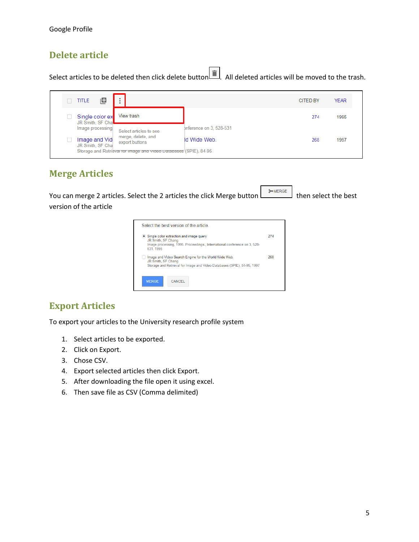#### <span id="page-5-0"></span>**Delete article**

Select articles to be deleted then click delete button  $\Box$ . All deleted articles will be moved to the trash.

| ıО<br><b>TITLE</b>                  | $\ddot{\phantom{a}}$                                              |                         | <b>CITED BY</b> | <b>YEAR</b> |
|-------------------------------------|-------------------------------------------------------------------|-------------------------|-----------------|-------------|
| Single color ex<br>JR Smith, SF Cha | View trash                                                        |                         | 274             | 1995        |
| Image processing,                   | Select articles to see                                            | Inference on 3, 528-531 |                 |             |
| Image and Vid<br>JR Smith, SF Cha   | merge, delete, and<br>export buttons                              | <b>Id Wide Web.</b>     | 268             | 1997        |
|                                     | Storage and Retrieval for image and video Databases (SPIE), 84-95 |                         |                 |             |

#### <span id="page-5-1"></span>**Merge Articles**

You can merge 2 articles. Select the 2 articles the click Merge button the select the best version of the article

| Select the best version of the article                                                                                                                    |     |
|-----------------------------------------------------------------------------------------------------------------------------------------------------------|-----|
| • Single color extraction and image query<br>JR Smith, SF Chang<br>Image processing, 1995. Proceedings., International conference on 3, 528-<br>531, 1995 | 274 |
| Image and Video Search Engine for the World Wide Web.<br>JR Smith, SF Chang<br>Storage and Retrieval for Image and Video Databases (SPIE), 84-95, 1997    | 268 |
| <b>MERGE</b><br><b>CANCEL</b>                                                                                                                             |     |

## <span id="page-5-2"></span>**Export Articles**

To export your articles to the University research profile system

- 1. Select articles to be exported.
- 2. Click on Export.
- 3. Chose CSV.
- 4. Export selected articles then click Export.
- 5. After downloading the file open it using excel.
- 6. Then save file as CSV (Comma delimited)